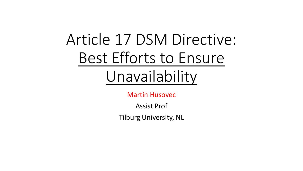# Article 17 DSM Directive: Best Efforts to Ensure Unavailability

Martin Husovec

Assist Prof

Tilburg University, NL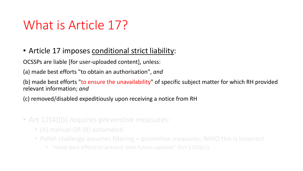### What is Article 17?

#### • Article 17 imposes conditional strict liability:

OCSSPs are liable [for user-uploaded content], unless:

(a) made best efforts "to obtain an authorisation", *and*

(b) made best efforts "to ensure the unavailability" of specific subject matter for which RH provided relevant information; *and*

(c) removed/disabled expeditiously upon receiving a notice from RH

- Art 17(4)(b) requires preventive measures:
	- (A) manual OR (B) automated
	- Polish challenge assumes filtering = preventive measures; IMHO this is incorrect.
		- "made best efforts to prevent their future uploads" (Art 17(4)(c))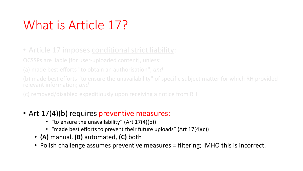# What is Article 17?

• Article 17 imposes conditional strict liability:

OCSSPs are liable [for user-uploaded content], unless:

(a) made best efforts "to obtain an authorisation", *and*

(b) made best efforts "to ensure the unavailability" of specific subject matter for which RH provided relevant information; *and*

(c) removed/disabled expeditiously upon receiving a notice from RH

- Art 17(4)(b) requires preventive measures:
	- "to ensure the unavailability" (Art 17(4)(b))
	- "made best efforts to prevent their future uploads" (Art 17(4)(c))
	- **(A)** manual, **(B)** automated, **(C)** both
	- Polish challenge assumes preventive measures = filtering; IMHO this is incorrect.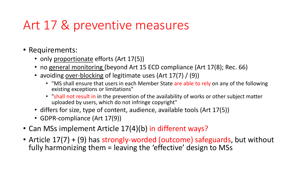### Art 17 & preventive measures

- Requirements:
	- only proportionate efforts (Art 17(5))
	- no general monitoring (beyond Art 15 ECD compliance (Art 17(8); Rec. 66)
	- avoiding over-blocking of legitimate uses (Art 17(7) / (9))
		- "MS shall ensure that users in each Member State are able to rely on any of the following existing exceptions or limitations"
		- "shall not result in in the prevention of the availability of works or other subject matter uploaded by users, which do not infringe copyright"
	- differs for size, type of content, audience, available tools (Art 17(5))
	- GDPR-compliance (Art 17(9))
- Can MSs implement Article 17(4)(b) in different ways?
- Article 17(7) + (9) has strongly-worded (outcome) safeguards, but without fully harmonizing them = leaving the 'effective' design to MSs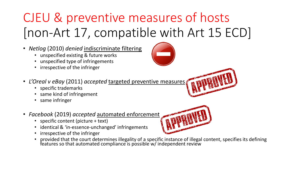# CJEU & preventive measures of hosts [non-Art 17, compatible with Art 15 ECD]

- *Netlog* (2010) *denied* indiscriminate filtering
	- unspecified existing & future works
	- unspecified type of infringements
	- irrespective of the infringer
- *L'Oreal v eBay* (2011) *accepted* targeted preventive measures
	- specific trademarks
	- same kind of infringement
	- same infringer
- *Facebook* (2019) *accepted* automated enforcement
	- specific content (picture + text)
	- identical & 'in-essence-unchanged' infringements
	- irrespective of the infringer
	- provided that the court determines illegality of a specific instance of illegal content, specifies its defining features so that automated compliance is possible w/ independent review



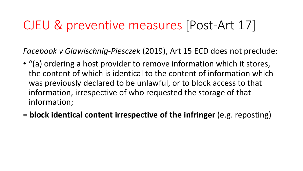#### CJEU & preventive measures [Post-Art 17]

*Facebook v Glawischnig-Piesczek* (2019), Art 15 ECD does not preclude:

- "(a) ordering a host provider to remove information which it stores, the content of which is identical to the content of information which was previously declared to be unlawful, or to block access to that information, irrespective of who requested the storage of that information;
- **= block identical content irrespective of the infringer** (e.g. reposting)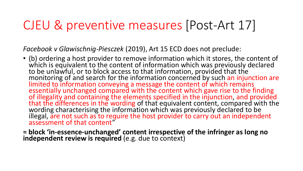### CJEU & preventive measures [Post-Art 17]

*Facebook v Glawischnig-Piesczek* (2019), Art 15 ECD does not preclude:

- (b) ordering a host provider to remove information which it stores, the content of which is equivalent to the content of information which was previously declared to be unlawful, or to block access to that information, provided that the monitoring of and search for the information concerned by such an injunction are limited to information conveying a message the content of which remains essentially unchanged compared with the content which gave rise to the finding of illegality and containing the elements specified in the injunction, and provided that the differences in the wording of that equivalent content, compared with the wording characterising the information which was previously declared to be illegal, are not such as to require the host provider to carry out an independent assessment of that content"
- **= block 'in-essence-unchanged' content irrespective of the infringer as long no independent review is required** (e.g. due to context)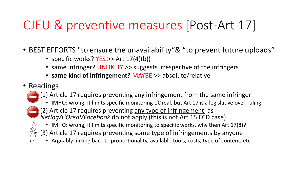# CJEU & preventive measures [Post-Art 17]

- BEST EFFORTS "to ensure the unavailability"& "to prevent future uploads"
	- specific works?  $YES \gg Art 17(4)(b)$
	- same infringer? UNLIKELY >> suggests irrespective of the infringers
	- **same kind of infringement?** MAYBE >> absolute/relative
- Readings
	- (1) Article 17 requires preventing any infringement from the same infringer
		- IMHO: wrong, it limits specific monitoring L'Oreal, but Art 17 is a legislative over-ruling
	- - $\bigcirc$  (2) Article 17 requires preventing any type of infringement, as
			- *Netlog/L'Oreal/Facebook* do not apply (this is not Art 15 ECD case)
			- IMHO: wrong, it limits specific monitoring to specific works, why then Art 17(8)?
			- (3) Article 17 requires preventing some type of infringements by anyone
			- Arguably linking back to proportionality, available tools, costs, type of content, etc.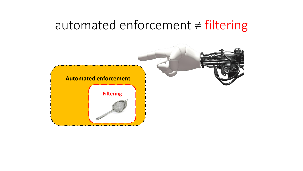#### automated enforcement ≠ filtering

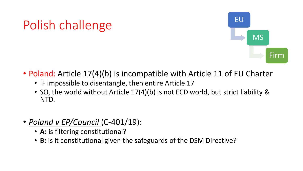# Polish challenge



- Poland: Article 17(4)(b) is incompatible with Article 11 of EU Charter
	- IF impossible to disentangle, then entire Article 17
	- SO, the world without Article 17(4)(b) is not ECD world, but strict liability & NTD.
- *Poland v EP/Council* (C-401/19):
	- **A:** is filtering constitutional?
	- **B:** is it constitutional given the safeguards of the DSM Directive?